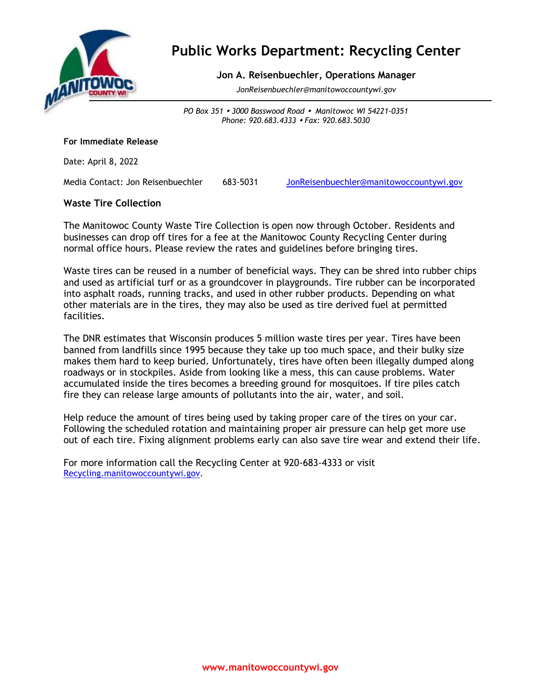

# **Public Works Department: Recycling Center**

## **Jon A. Reisenbuechler, Operations Manager**

*JonReisenbuechler@manitowoccountywi.gov*

*PO Box 351 3000 Basswood Road Manitowoc WI 54221-0351 Phone: 920.683.4333 Fax: 920.683.5030*

#### **For Immediate Release**

Date: April 8, 2022

Media Contact: Jon Reisenbuechler 683-5031 [JonReisenbuechler@manitowoccountywi.gov](mailto:JonReisenbuechler@manitowoccountywi.gov)

#### **Waste Tire Collection**

The Manitowoc County Waste Tire Collection is open now through October. Residents and businesses can drop off tires for a fee at the Manitowoc County Recycling Center during normal office hours. Please review the rates and guidelines before bringing tires.

Waste tires can be reused in a number of beneficial ways. They can be shred into rubber chips and used as artificial turf or as a groundcover in playgrounds. Tire rubber can be incorporated into asphalt roads, running tracks, and used in other rubber products. Depending on what other materials are in the tires, they may also be used as tire derived fuel at permitted facilities.

The DNR estimates that Wisconsin produces 5 million waste tires per year. Tires have been banned from landfills since 1995 because they take up too much space, and their bulky size makes them hard to keep buried. Unfortunately, tires have often been illegally dumped along roadways or in stockpiles. Aside from looking like a mess, this can cause problems. Water accumulated inside the tires becomes a breeding ground for mosquitoes. If tire piles catch fire they can release large amounts of pollutants into the air, water, and soil.

Help reduce the amount of tires being used by taking proper care of the tires on your car. Following the scheduled rotation and maintaining proper air pressure can help get more use out of each tire. Fixing alignment problems early can also save tire wear and extend their life.

For more information call the Recycling Center at 920-683-4333 or visit [Recycling.manitowoccountywi.gov.](https://manitowoccountywi.gov/departments/recycling-center/)